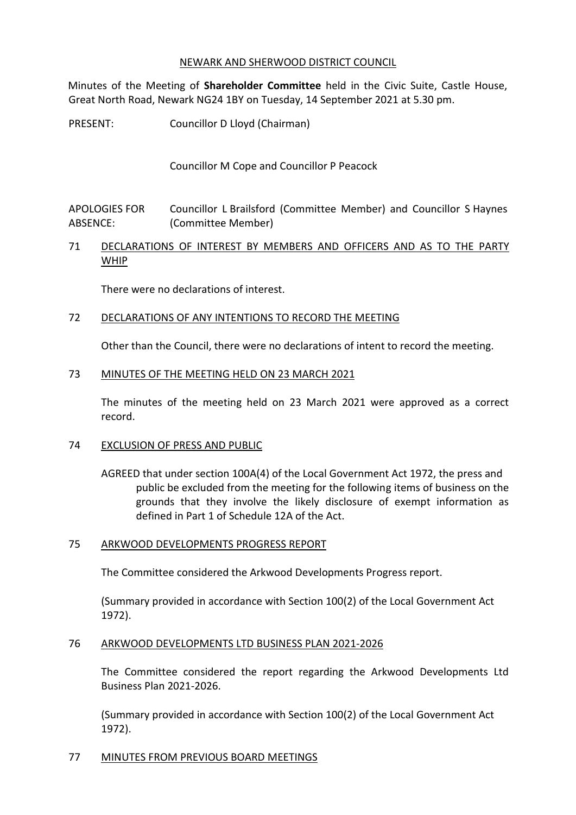## NEWARK AND SHERWOOD DISTRICT COUNCIL

Minutes of the Meeting of **Shareholder Committee** held in the Civic Suite, Castle House, Great North Road, Newark NG24 1BY on Tuesday, 14 September 2021 at 5.30 pm.

PRESENT: Councillor D Lloyd (Chairman)

Councillor M Cope and Councillor P Peacock

APOLOGIES FOR ABSENCE: Councillor L Brailsford (Committee Member) and Councillor S Haynes (Committee Member)

# 71 DECLARATIONS OF INTEREST BY MEMBERS AND OFFICERS AND AS TO THE PARTY WHIP

There were no declarations of interest.

## 72 DECLARATIONS OF ANY INTENTIONS TO RECORD THE MEETING

Other than the Council, there were no declarations of intent to record the meeting.

#### 73 MINUTES OF THE MEETING HELD ON 23 MARCH 2021

The minutes of the meeting held on 23 March 2021 were approved as a correct record.

## 74 EXCLUSION OF PRESS AND PUBLIC

AGREED that under section 100A(4) of the Local Government Act 1972, the press and public be excluded from the meeting for the following items of business on the grounds that they involve the likely disclosure of exempt information as defined in Part 1 of Schedule 12A of the Act.

## 75 ARKWOOD DEVELOPMENTS PROGRESS REPORT

The Committee considered the Arkwood Developments Progress report.

(Summary provided in accordance with Section 100(2) of the Local Government Act 1972).

#### 76 ARKWOOD DEVELOPMENTS LTD BUSINESS PLAN 2021-2026

The Committee considered the report regarding the Arkwood Developments Ltd Business Plan 2021-2026.

(Summary provided in accordance with Section 100(2) of the Local Government Act 1972).

## 77 MINUTES FROM PREVIOUS BOARD MEETINGS